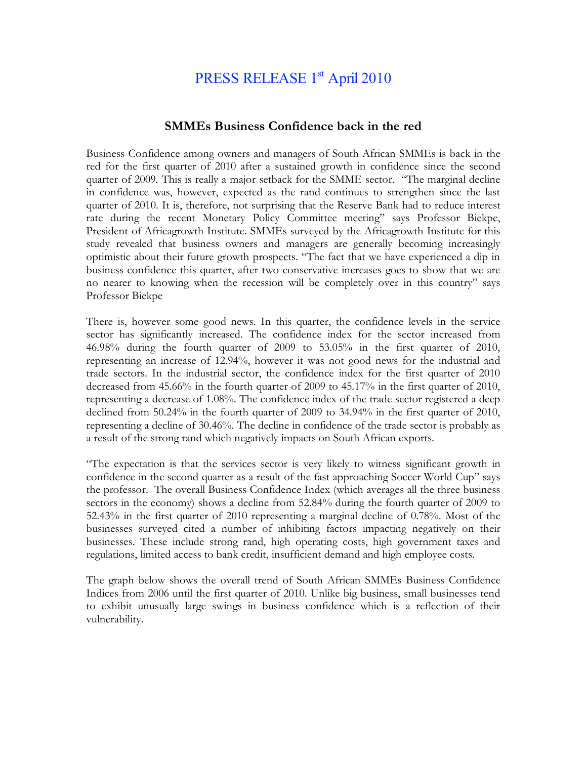## PRESS RELEASE 1<sup>st</sup> April 2010

## **SMMEs Business Confidence back in the red**

Business Confidence among owners and managers of South African SMMEs is back in the red for the first quarter of 2010 after a sustained growth in confidence since the second quarter of 2009. This is really a major setback for the SMME sector. "The marginal decline in confidence was, however, expected as the rand continues to strengthen since the last quarter of 2010. It is, therefore, not surprising that the Reserve Bank had to reduce interest rate during the recent Monetary Policy Committee meeting" says Professor Biekpe, President of Africagrowth Institute. SMMEs surveyed by the Africagrowth Institute for this study revealed that business owners and managers are generally becoming increasingly optimistic about their future growth prospects. "The fact that we have experienced a dip in business confidence this quarter, after two conservative increases goes to show that we are no nearer to knowing when the recession will be completely over in this country" says Professor Biekpe

There is, however some good news. In this quarter, the confidence levels in the service sector has significantly increased. The confidence index for the sector increased from 46.98% during the fourth quarter of 2009 to 53.05% in the first quarter of 2010, representing an increase of 12.94%, however it was not good news for the industrial and trade sectors. In the industrial sector, the confidence index for the first quarter of 2010 decreased from 45.66% in the fourth quarter of 2009 to 45.17% in the first quarter of 2010, representing a decrease of 1.08%. The confidence index of the trade sector registered a deep declined from 50.24% in the fourth quarter of 2009 to 34.94% in the first quarter of 2010, representing a decline of 30.46%. The decline in confidence of the trade sector is probably as a result of the strong rand which negatively impacts on South African exports.

"The expectation is that the services sector is very likely to witness significant growth in confidence in the second quarter as a result of the fast approaching Soccer World Cup" says the professor. The overall Business Confidence Index (which averages all the three business sectors in the economy) shows a decline from 52.84% during the fourth quarter of 2009 to 52.43% in the first quarter of 2010 representing a marginal decline of 0.78%. Most of the businesses surveyed cited a number of inhibiting factors impacting negatively on their businesses. These include strong rand, high operating costs, high government taxes and regulations, limited access to bank credit, insufficient demand and high employee costs.

The graph below shows the overall trend of South African SMMEs Business Confidence Indices from 2006 until the first quarter of 2010. Unlike big business, small businesses tend to exhibit unusually large swings in business confidence which is a reflection of their vulnerability.